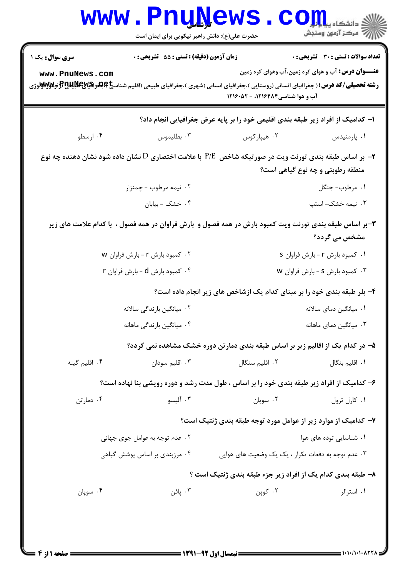| <b>تعداد سوالات : تستی : 30 ٪ تشریحی : 0</b><br><b>زمان آزمون (دقیقه) : تستی : 55 تشریحی : 0</b><br><b>سری سوال :</b> یک ۱<br><b>عنـــوان درس:</b> آب و هوای کره زمین،آب وهوای کره زمین<br>www.PnuNews.com<br><b>رشته تحصیلی/کد درس:</b> ( جغرافیای انسانی (روستایی )،جغرافیای انسانی (شهری )،جغرافیای طبیعی (اقلیم شناس <b>خ)چلغرافیایالاش (#ولاوالواتوال</b> وژی |                        |  |  |  |  |
|--------------------------------------------------------------------------------------------------------------------------------------------------------------------------------------------------------------------------------------------------------------------------------------------------------------------------------------------------------------------|------------------------|--|--|--|--|
|                                                                                                                                                                                                                                                                                                                                                                    |                        |  |  |  |  |
| آب و هوا شناسی ۱۲۱۶۴۸۴، - ۱۲۱۶۰۵۲                                                                                                                                                                                                                                                                                                                                  |                        |  |  |  |  |
| ا– کدامیک از افراد زیر طبقه بندی اقلیمی خود را بر پایه عرض جغرافیایی انجام داد؟                                                                                                                                                                                                                                                                                    |                        |  |  |  |  |
| ۰۳ بطليموس<br>۰۴ ارسطو<br>۰۲ هیپارکوس<br>۰۱ پارمنیدس                                                                                                                                                                                                                                                                                                               |                        |  |  |  |  |
| جابر اساس طبقه بندی تورنت ویت در صورتیکه شاخص $P/\mathrm{E}$ با علامت اختصاری $\mathrm{D}$ نشان داده شود نشان دهنده چه نوع $\bullet$<br>منطقه رطوبتی و چه نوع گیاهی است؟                                                                                                                                                                                           |                        |  |  |  |  |
| ۰۲ نیمه مرطوب - چمنزار<br>٠١ مرطوب- جنگل                                                                                                                                                                                                                                                                                                                           |                        |  |  |  |  |
| ۰۳ نیمه خشک-استپ<br>۰۴ خشک - بیابان                                                                                                                                                                                                                                                                                                                                |                        |  |  |  |  |
| ۳-بر اساس طبقه بندی تورنت ویت کمبود بارش در همه فصول و  بارش فراوان در همه فصول ،  با کدام علامت های زیر<br>مشخص می گردد؟                                                                                                                                                                                                                                          |                        |  |  |  |  |
| ۰۲ کمبود بارش r - بارش فراوان w<br>۰۱ کمبود بارش r - بارش فراوان s                                                                                                                                                                                                                                                                                                 |                        |  |  |  |  |
| ۰۴ کمبود بارش d - بارش فراوان r<br>۰۳ کمبود بارش s - بارش فراوان w                                                                                                                                                                                                                                                                                                 |                        |  |  |  |  |
| ۴- بلر طبقه بندی خود را بر مبنای کدام یک ازشاخص های زیر انجام داده است؟                                                                                                                                                                                                                                                                                            |                        |  |  |  |  |
| ۰۲ میانگین بارندگی سالانه                                                                                                                                                                                                                                                                                                                                          | ۰۱ میانگین دمای سالانه |  |  |  |  |
| ۰۴ میانگین بارندگی ماهانه<br>۰۳ میانگین دمای ماهانه                                                                                                                                                                                                                                                                                                                |                        |  |  |  |  |
| ۵– در کدام یک از اقالیم زیر بر اساس طبقه بندی دمارتن دوره خشک مشاهده نمی گردد؟                                                                                                                                                                                                                                                                                     |                        |  |  |  |  |
| ۰۴ اقلیم گینه<br>۰۲ اقلیم سنگال<br>۰۳ اقلیم سودان<br>۰۱ اقلیم بنگال                                                                                                                                                                                                                                                                                                |                        |  |  |  |  |
| ۶– کدامیک از افراد زیر طبقه بندی خود را بر اساس ، طول مدت رشد و دوره رویشی بنا نهاده است؟                                                                                                                                                                                                                                                                          |                        |  |  |  |  |
| ۰۳ آلیسو<br>۰۴ دمارتن<br>۰۲ سوپان<br>۰۱ کارل ترول                                                                                                                                                                                                                                                                                                                  |                        |  |  |  |  |
| ۷– کدامیک از موارد زیر از عوامل مورد توجه طبقه بندی ژنتیک است؟                                                                                                                                                                                                                                                                                                     |                        |  |  |  |  |
| ۰۲ عدم توجه به عوامل جوی جهانی<br>۰۱ شناسایی توده های هوا                                                                                                                                                                                                                                                                                                          |                        |  |  |  |  |
| ۰۳ عدم توجه به دفعات تکرار ، یک یک وضعیت های هوایی<br>۰۴ مرزبندی بر اساس پوشش گیاهی                                                                                                                                                                                                                                                                                |                        |  |  |  |  |
| ۸– طبقه بندی کدام یک از افراد زیر جزء طبقه بندی ژنتیک است ؟                                                                                                                                                                                                                                                                                                        |                        |  |  |  |  |
| ۰۲ کوپن<br>۰۴ سوپان<br>۰۳ پافن<br>٠١. استرالر                                                                                                                                                                                                                                                                                                                      |                        |  |  |  |  |
|                                                                                                                                                                                                                                                                                                                                                                    |                        |  |  |  |  |
|                                                                                                                                                                                                                                                                                                                                                                    |                        |  |  |  |  |

1.1.1.1.1.222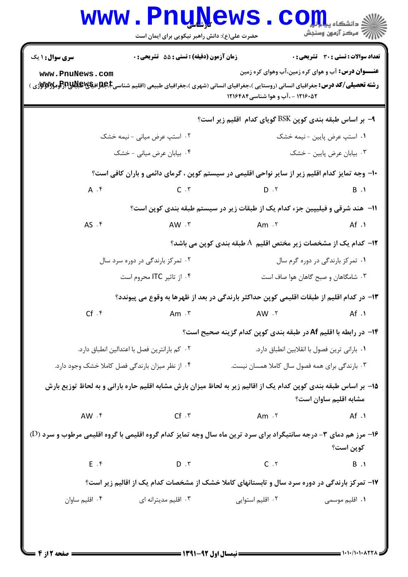## **www.PnuNews.com** حضرت علی(ع): دانش راهبر نیکویی برای ایمان است **تعداد سوالات : تستي : 30 - تشريحي : 0 سری سوال : ۱ یک** زمان آزمون (دقیقه) : تستی ; 55 ٪ تشریحی ; . **عنـــوان درس:** آب و هوای کره زمین،آب وهوای کره زمین www.PnuNews.com **رشته تحصیلی/کد درس:**جغرافیای انسانی (روستایی )،جغرافیای انسانی (شهری )،جغرافیای طبیعی (اقلیم شناسیCبهای بهای پایالا بهای پایالا بهای پایالا بهای پایالا بهای پایالا بهای پایالا بهای پایالا بهای پایالا بهای پایالا بهای پای 1216.0۲ - .آب و هوا شناسی ۱۲۱۶۴۸۴ ۹- بر اساس طبقه بندی کوین BSK گویای کدام اقلیم زیر است؟

۰۲ استپ عرض میانی - نیمه خشک

۰۴ بیابان عرض میانی - خشک ۰۳ بیابان عرض پایین - خشک ∙۱- وجه تمایز کدام اقلیم زیر از سایر نواحی اقلیمی در سیستم کوپن ، گرمای دائمی و باران کافی است؟  $A \cdot f$  $C \cdot Y$  $D \cdot Y$  $B \cdot 1$ ١١− هند شرقي و فيليپين جزء كدام يک از طبقات زير در سيستم طبقه بندي کوپن است؟  $AS \cdot$  $AW \cdot r$  $Am \cdot Y$  $Af.$ ۱۲- کدام یک از مشخصات زیر مختص اقلیم A طبقه بندی کوین می باشد؟ ۰۲ تمرکز بارندگی در دوره سرد سال ۰۱ تمرکز بارندگی در دوره گرم سال ۰۴ از تاثیر ITC محروم است ۰۳ شامگاهان و صبح گاهان هوا صاف است ١٣- در كدام اقليم از طبقات اقليمي كوين حداكثر بارندگي در بعد از ظهرها به وقوع مي پيوندد؟  $Cf$   $\cdot$   $f$ Am  $.\tau$ AW . Y  $Af.$ ۱۴- در رابطه با اقلیم Af در طبقه بندی کوین کدام گزینه صحیح است؟ ٢٠- كم بارانترين فصل با اعتدالين انطباق دارد. ٠١. باراني ترين فصول يا انقلابين انطباق دارد.

۰۴ از نظر میزان بارندگی فصل کاملا خشک وجود دارد. ۰۳ بارندگی برای همه فصول سال کاملا همسان نیست.

1۵– بر اساس طبقه بندی کوپن کدام یک از اقالیم زیر به لحاظ میزان بارش مشابه اقلیم حاره بارانی و به لحاظ توزیع بارش مشابه اقلیم ساوان است؟

 $AW \cdot f$  $Cf \cdot r$  $Am.7$  $Af.$ 

۱۶- مرز هم دمای ۳- درجه سانتیگراد برای سرد ترین ماه سال وجه تمایز کدام گروه اقلیمی با گروه اقلیمی مرطوب و سرد (D) كوين است؟

> $E \cdot f$  $D \cdot \tau$  $C \cdot Y$  $B.1$

۱۷- تمرکز بارندگی در دوره سرد سال و تابستانهای کاملا خشک از مشخصات کدام یک از اقالیم زیر است؟

۰۴ اقلیم ساوان ۰۱ اقلیم موسمی ۰۳ اقلیم مدیترانه ای ۰۲ اقلیم استوایی

۰۱ استپ عرض پایین - نیمه خشک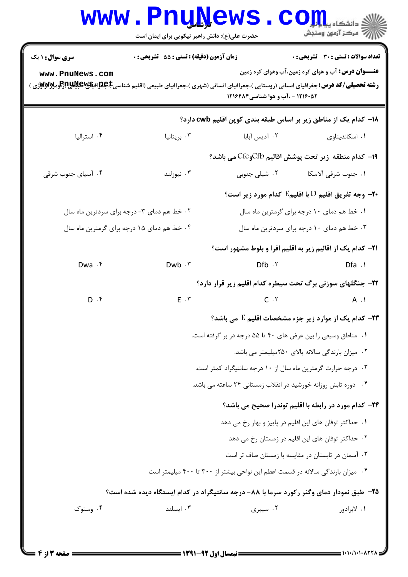## **www.PnuNews.com** ازارات مرکز آزمون وسنجش حضرت علی(ع): دانش راهبر نیکویی برای ایمان است **تعداد سوالات : تستي : 30 - تشريحي : 0 سری سوال : ۱ یک** زمان آزمون (دقیقه) : تستی ; 55 ٪ تشریحی ; . **عنـــوان درس:** آب و هوای کره زمین،آب وهوای کره زمین www.PnuNews.com 1216.0۲ - .آب و هوا شناسی ۱۲۱۶۴۸۴ 18- کدام یک از مناطق زیر بر اساس طبقه بندی کوین اقلیم cwb دارد؟ ۰۴ استرالیا ۰۲ آدىس آيايا ۰۳ بریتانیا ۰۱ اسکاندىناوى 19- كدام منطقه زير تحت يوشش اقاليم CfbوCfb مي باشد؟ ۰۴ آسیای جنوب شرقی ۰۳ نیوزلند -۲- وجه تفريق اقليم D با اقليم $\, {\bf E} \,$  كدام مورد زير است؟  $\,$ ۰۱ خط هم دمای ۱۰ درجه برای گرمترین ماه سال ۰۲ خط هم دمای ۳- درجه برای سردترین ماه سال ۴. خط هم دمای ۱۵ درجه برای گرمترین ماه سال ۰۳ خط هم دمای ۱۰ درجه برای سردترین ماه سال **۲۱**- کدام یک از اقالیم زیر به اقلیم افرا و بلوط مشهور است؟ Dwa .f  $Dfb \cdot Y$ Dwb . ٣  $Dfa \cdot \theta$ 22- جنگلهای سوزنی برگ تحت سیطره کدام اقلیم زیر قرار دارد؟  $E \cdot r$  $C \cdot Y$  $D \cdot$  $A \cdot Y$ **۲۳- کدام یک از موارد زیر جزء مشخصات اقلیم E می باشد؟** ۰۱ مناطق وسیعی را بین عرض های ۴۰ تا ۵۵ درجه در بر گرفته است. ۰۲ میزان بارندگی سالانه بالای ۲۵۰میلیمتر می باشد.

- ۰۳ درجه حرارت گرمترین ماه سال از ۱۰ درجه سانتیگراد کمتر است.
- ۰۴ دوره تابش روزانه خورشید در انقلاب زمستانی ۲۴ ساعته می باشد.

## **۲۴**- کدام مورد در رابطه با اقلیم توندرا صحیح می باشد؟

- ٠١. حداكثر توفان هاي اين اقليم در پاييز و بهار رخ مي دهد
	- ۲۰ حداکثر توفان های این اقلیم در زمستان رخ می دهد
	- ۰۳ آسمان در تابستان در مقایسه با زمستان صاف تر است
- ۰۴ میزان بارندگی سالانه در قسمت اعطم این نواحی بیشتر از ۳۰۰ تا ۴۰۰ میلیمتر است

## ۲۵- طبق نمودار دمای وگنر رکورد سرما با ۸۸- درجه سانتیگراد در کدام ایستگاه دیده شده است؟

| ۰۴ وستوک | ۰۳ اسىلند | ۰۲ سیبری | ۰۱ لابرادور |
|----------|-----------|----------|-------------|
|----------|-----------|----------|-------------|